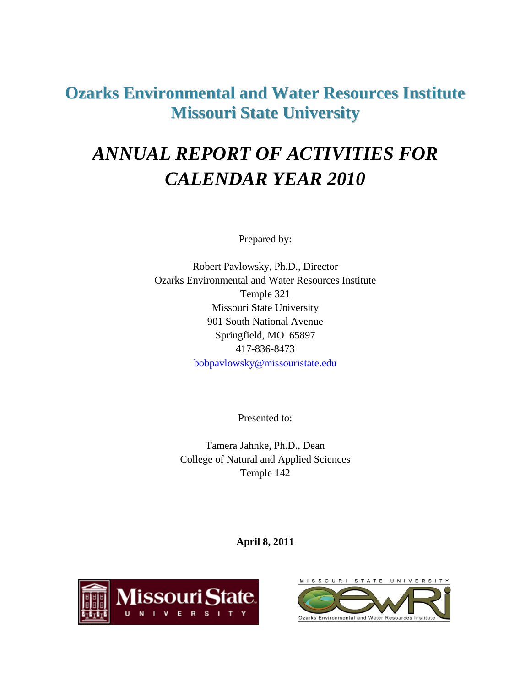# **Ozarks Environmental and Water Resources Institute Missouri State University**

# *ANNUAL REPORT OF ACTIVITIES FOR CALENDAR YEAR 2010*

Prepared by:

Robert Pavlowsky, Ph.D., Director Ozarks Environmental and Water Resources Institute Temple 321 Missouri State University 901 South National Avenue Springfield, MO 65897 417-836-8473 [bobpavlowsky@missouristate.edu](mailto:bobpavlowsky@missouristate.edu)

Presented to:

Tamera Jahnke, Ph.D., Dean College of Natural and Applied Sciences Temple 142

**April 8, 2011**



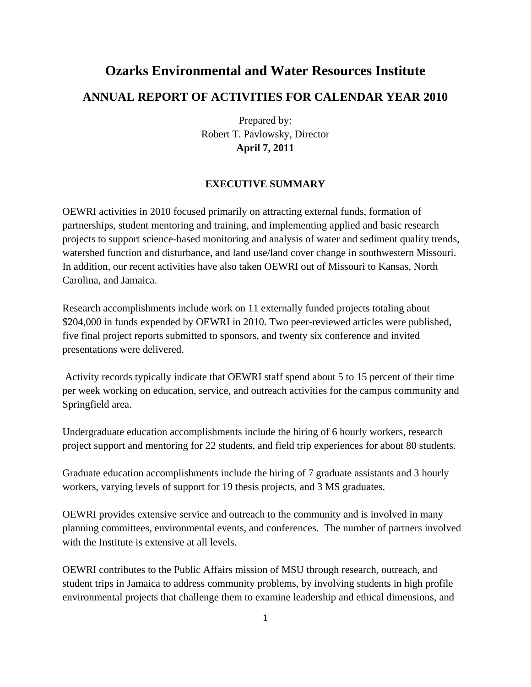# **Ozarks Environmental and Water Resources Institute ANNUAL REPORT OF ACTIVITIES FOR CALENDAR YEAR 2010**

Prepared by: Robert T. Pavlowsky, Director **April 7, 2011**

# **EXECUTIVE SUMMARY**

OEWRI activities in 2010 focused primarily on attracting external funds, formation of partnerships, student mentoring and training, and implementing applied and basic research projects to support science-based monitoring and analysis of water and sediment quality trends, watershed function and disturbance, and land use/land cover change in southwestern Missouri. In addition, our recent activities have also taken OEWRI out of Missouri to Kansas, North Carolina, and Jamaica.

Research accomplishments include work on 11 externally funded projects totaling about \$204,000 in funds expended by OEWRI in 2010. Two peer-reviewed articles were published, five final project reports submitted to sponsors, and twenty six conference and invited presentations were delivered.

Activity records typically indicate that OEWRI staff spend about 5 to 15 percent of their time per week working on education, service, and outreach activities for the campus community and Springfield area.

Undergraduate education accomplishments include the hiring of 6 hourly workers, research project support and mentoring for 22 students, and field trip experiences for about 80 students.

Graduate education accomplishments include the hiring of 7 graduate assistants and 3 hourly workers, varying levels of support for 19 thesis projects, and 3 MS graduates.

OEWRI provides extensive service and outreach to the community and is involved in many planning committees, environmental events, and conferences. The number of partners involved with the Institute is extensive at all levels.

OEWRI contributes to the Public Affairs mission of MSU through research, outreach, and student trips in Jamaica to address community problems, by involving students in high profile environmental projects that challenge them to examine leadership and ethical dimensions, and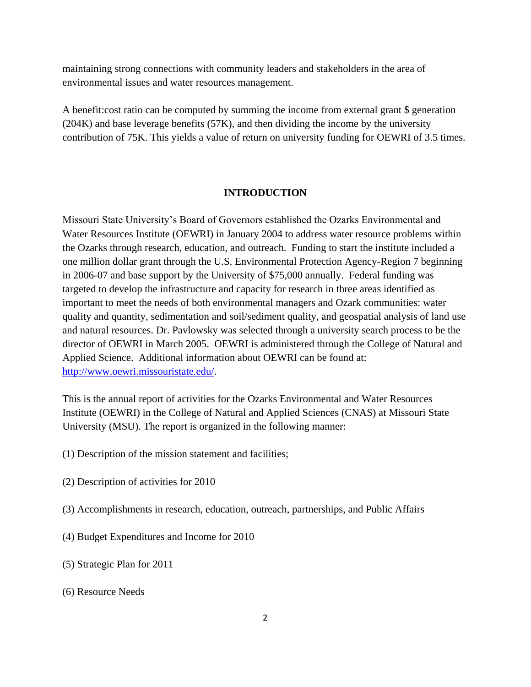maintaining strong connections with community leaders and stakeholders in the area of environmental issues and water resources management.

A benefit:cost ratio can be computed by summing the income from external grant \$ generation (204K) and base leverage benefits (57K), and then dividing the income by the university contribution of 75K. This yields a value of return on university funding for OEWRI of 3.5 times.

#### **INTRODUCTION**

Missouri State University's Board of Governors established the Ozarks Environmental and Water Resources Institute (OEWRI) in January 2004 to address water resource problems within the Ozarks through research, education, and outreach. Funding to start the institute included a one million dollar grant through the U.S. Environmental Protection Agency-Region 7 beginning in 2006-07 and base support by the University of \$75,000 annually. Federal funding was targeted to develop the infrastructure and capacity for research in three areas identified as important to meet the needs of both environmental managers and Ozark communities: water quality and quantity, sedimentation and soil/sediment quality, and geospatial analysis of land use and natural resources. Dr. Pavlowsky was selected through a university search process to be the director of OEWRI in March 2005. OEWRI is administered through the College of Natural and Applied Science. Additional information about OEWRI can be found at: [http://www.oewri.missouristate.edu/.](http://www.oewri.missouristate.edu/)

This is the annual report of activities for the Ozarks Environmental and Water Resources Institute (OEWRI) in the College of Natural and Applied Sciences (CNAS) at Missouri State University (MSU). The report is organized in the following manner:

- (1) Description of the mission statement and facilities;
- (2) Description of activities for 2010
- (3) Accomplishments in research, education, outreach, partnerships, and Public Affairs
- (4) Budget Expenditures and Income for 2010
- (5) Strategic Plan for 2011
- (6) Resource Needs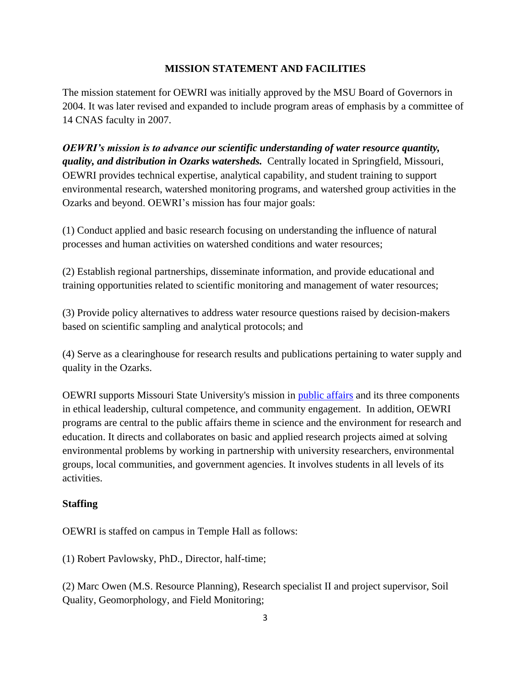# **MISSION STATEMENT AND FACILITIES**

The mission statement for OEWRI was initially approved by the MSU Board of Governors in 2004. It was later revised and expanded to include program areas of emphasis by a committee of 14 CNAS faculty in 2007.

*OEWRI's mission is to advance our scientific understanding of water resource quantity, quality, and distribution in Ozarks watersheds.* Centrally located in Springfield, Missouri, OEWRI provides technical expertise, analytical capability, and student training to support environmental research, watershed monitoring programs, and watershed group activities in the Ozarks and beyond. OEWRI's mission has four major goals:

(1) Conduct applied and basic research focusing on understanding the influence of natural processes and human activities on watershed conditions and water resources;

(2) Establish regional partnerships, disseminate information, and provide educational and training opportunities related to scientific monitoring and management of water resources;

(3) Provide policy alternatives to address water resource questions raised by decision-makers based on scientific sampling and analytical protocols; and

(4) Serve as a clearinghouse for research results and publications pertaining to water supply and quality in the Ozarks.

OEWRI supports Missouri State University's mission in [public affairs](http://publicaffairs.missouristate.edu/) and its three components in ethical leadership, cultural competence, and community engagement. In addition, OEWRI programs are central to the public affairs theme in science and the environment for research and education. It directs and collaborates on basic and applied research projects aimed at solving environmental problems by working in partnership with university researchers, environmental groups, local communities, and government agencies. It involves students in all levels of its activities.

# **Staffing**

OEWRI is staffed on campus in Temple Hall as follows:

(1) Robert Pavlowsky, PhD., Director, half-time;

(2) Marc Owen (M.S. Resource Planning), Research specialist II and project supervisor, Soil Quality, Geomorphology, and Field Monitoring;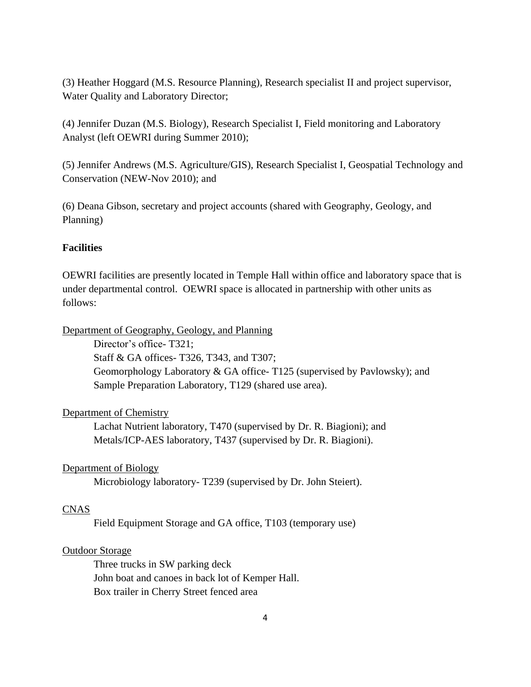(3) Heather Hoggard (M.S. Resource Planning), Research specialist II and project supervisor, Water Quality and Laboratory Director;

(4) Jennifer Duzan (M.S. Biology), Research Specialist I, Field monitoring and Laboratory Analyst (left OEWRI during Summer 2010);

(5) Jennifer Andrews (M.S. Agriculture/GIS), Research Specialist I, Geospatial Technology and Conservation (NEW-Nov 2010); and

(6) Deana Gibson, secretary and project accounts (shared with Geography, Geology, and Planning)

# **Facilities**

OEWRI facilities are presently located in Temple Hall within office and laboratory space that is under departmental control. OEWRI space is allocated in partnership with other units as follows:

Department of Geography, Geology, and Planning

Director's office- T321; Staff & GA offices- T326, T343, and T307; Geomorphology Laboratory & GA office- T125 (supervised by Pavlowsky); and Sample Preparation Laboratory, T129 (shared use area).

# Department of Chemistry

Lachat Nutrient laboratory, T470 (supervised by Dr. R. Biagioni); and Metals/ICP-AES laboratory, T437 (supervised by Dr. R. Biagioni).

# Department of Biology

Microbiology laboratory- T239 (supervised by Dr. John Steiert).

# CNAS

Field Equipment Storage and GA office, T103 (temporary use)

# Outdoor Storage

Three trucks in SW parking deck John boat and canoes in back lot of Kemper Hall. Box trailer in Cherry Street fenced area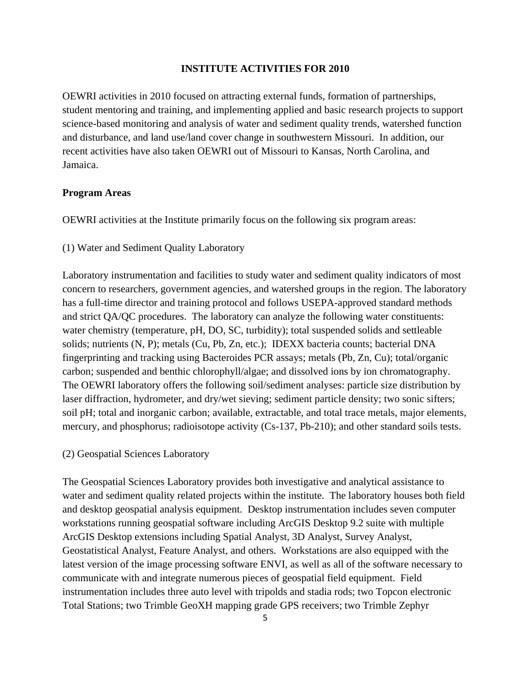#### **INSTITUTE ACTIVITIES FOR 2010**

OEWRI activities in 2010 focused on attracting external funds, formation of partnerships, student mentoring and training, and implementing applied and basic research projects to support science-based monitoring and analysis of water and sediment quality trends, watershed function and disturbance, and land use/land cover change in southwestern Missouri. In addition, our recent activities have also taken OEWRI out of Missouri to Kansas, North Carolina, and Jamaica.

#### **Program Areas**

OEWRI activities at the Institute primarily focus on the following six program areas:

(1) Water and Sediment Quality Laboratory

Laboratory instrumentation and facilities to study water and sediment quality indicators of most concern to researchers, government agencies, and watershed groups in the region. The laboratory has a full-time director and training protocol and follows USEPA-approved standard methods and strict QA/QC procedures. The laboratory can analyze the following water constituents: water chemistry (temperature, pH, DO, SC, turbidity); total suspended solids and settleable solids; nutrients (N, P); metals (Cu, Pb, Zn, etc.); IDEXX bacteria counts; bacterial DNA fingerprinting and tracking using Bacteroides PCR assays; metals (Pb, Zn, Cu); total/organic carbon; suspended and benthic chlorophyll/algae; and dissolved ions by ion chromatography. The OEWRI laboratory offers the following soil/sediment analyses: particle size distribution by laser diffraction, hydrometer, and dry/wet sieving; sediment particle density; two sonic sifters; soil pH; total and inorganic carbon; available, extractable, and total trace metals, major elements, mercury, and phosphorus; radioisotope activity (Cs-137, Pb-210); and other standard soils tests.

(2) Geospatial Sciences Laboratory

The Geospatial Sciences Laboratory provides both investigative and analytical assistance to water and sediment quality related projects within the institute. The laboratory houses both field and desktop geospatial analysis equipment. Desktop instrumentation includes seven computer workstations running geospatial software including ArcGIS Desktop 9.2 suite with multiple ArcGIS Desktop extensions including Spatial Analyst, 3D Analyst, Survey Analyst, Geostatistical Analyst, Feature Analyst, and others. Workstations are also equipped with the latest version of the image processing software ENVI, as well as all of the software necessary to communicate with and integrate numerous pieces of geospatial field equipment. Field instrumentation includes three auto level with tripolds and stadia rods; two Topcon electronic Total Stations; two Trimble GeoXH mapping grade GPS receivers; two Trimble Zephyr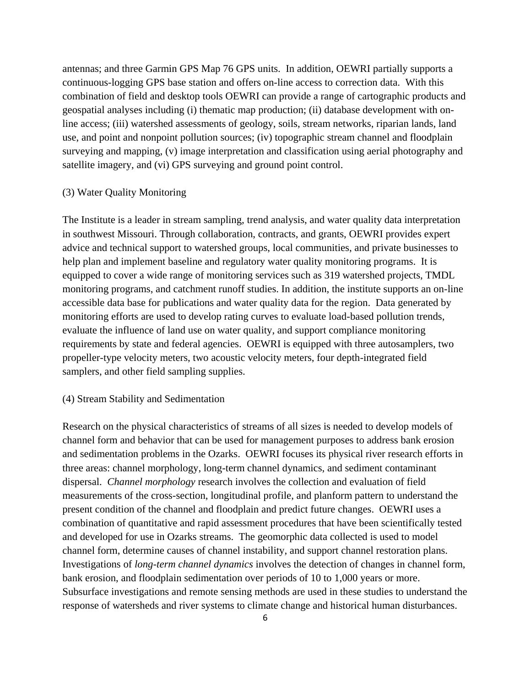antennas; and three Garmin GPS Map 76 GPS units. In addition, OEWRI partially supports a continuous-logging GPS base station and offers on-line access to correction data. With this combination of field and desktop tools OEWRI can provide a range of cartographic products and geospatial analyses including (i) thematic map production; (ii) database development with online access; (iii) watershed assessments of geology, soils, stream networks, riparian lands, land use, and point and nonpoint pollution sources; (iv) topographic stream channel and floodplain surveying and mapping, (v) image interpretation and classification using aerial photography and satellite imagery, and (vi) GPS surveying and ground point control.

# (3) Water Quality Monitoring

The Institute is a leader in stream sampling, trend analysis, and water quality data interpretation in southwest Missouri. Through collaboration, contracts, and grants, OEWRI provides expert advice and technical support to watershed groups, local communities, and private businesses to help plan and implement baseline and regulatory water quality monitoring programs. It is equipped to cover a wide range of monitoring services such as 319 watershed projects, TMDL monitoring programs, and catchment runoff studies. In addition, the institute supports an on-line accessible data base for publications and water quality data for the region. Data generated by monitoring efforts are used to develop rating curves to evaluate load-based pollution trends, evaluate the influence of land use on water quality, and support compliance monitoring requirements by state and federal agencies. OEWRI is equipped with three autosamplers, two propeller-type velocity meters, two acoustic velocity meters, four depth-integrated field samplers, and other field sampling supplies.

#### (4) Stream Stability and Sedimentation

Research on the physical characteristics of streams of all sizes is needed to develop models of channel form and behavior that can be used for management purposes to address bank erosion and sedimentation problems in the Ozarks. OEWRI focuses its physical river research efforts in three areas: channel morphology, long-term channel dynamics, and sediment contaminant dispersal. *Channel morphology* research involves the collection and evaluation of field measurements of the cross-section, longitudinal profile, and planform pattern to understand the present condition of the channel and floodplain and predict future changes. OEWRI uses a combination of quantitative and rapid assessment procedures that have been scientifically tested and developed for use in Ozarks streams. The geomorphic data collected is used to model channel form, determine causes of channel instability, and support channel restoration plans. Investigations of *long-term channel dynamics* involves the detection of changes in channel form, bank erosion, and floodplain sedimentation over periods of 10 to 1,000 years or more. Subsurface investigations and remote sensing methods are used in these studies to understand the response of watersheds and river systems to climate change and historical human disturbances.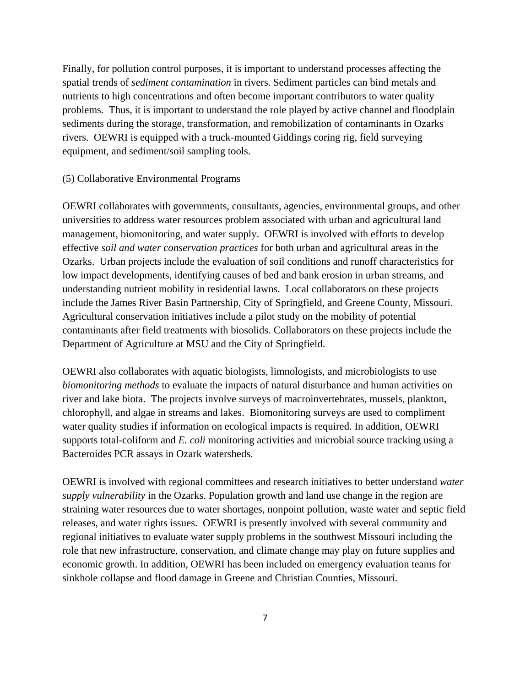Finally, for pollution control purposes, it is important to understand processes affecting the spatial trends of *sediment contamination* in rivers. Sediment particles can bind metals and nutrients to high concentrations and often become important contributors to water quality problems. Thus, it is important to understand the role played by active channel and floodplain sediments during the storage, transformation, and remobilization of contaminants in Ozarks rivers. OEWRI is equipped with a truck-mounted Giddings coring rig, field surveying equipment, and sediment/soil sampling tools.

#### (5) Collaborative Environmental Programs

OEWRI collaborates with governments, consultants, agencies, environmental groups, and other universities to address water resources problem associated with urban and agricultural land management, biomonitoring, and water supply. OEWRI is involved with efforts to develop effective *soil and water conservation practices* for both urban and agricultural areas in the Ozarks. Urban projects include the evaluation of soil conditions and runoff characteristics for low impact developments, identifying causes of bed and bank erosion in urban streams, and understanding nutrient mobility in residential lawns. Local collaborators on these projects include the James River Basin Partnership, City of Springfield, and Greene County, Missouri. Agricultural conservation initiatives include a pilot study on the mobility of potential contaminants after field treatments with biosolids. Collaborators on these projects include the Department of Agriculture at MSU and the City of Springfield.

OEWRI also collaborates with aquatic biologists, limnologists, and microbiologists to use *biomonitoring methods* to evaluate the impacts of natural disturbance and human activities on river and lake biota. The projects involve surveys of macroinvertebrates, mussels, plankton, chlorophyll, and algae in streams and lakes. Biomonitoring surveys are used to compliment water quality studies if information on ecological impacts is required. In addition, OEWRI supports total-coliform and *E. coli* monitoring activities and microbial source tracking using a Bacteroides PCR assays in Ozark watersheds.

OEWRI is involved with regional committees and research initiatives to better understand *water supply vulnerability* in the Ozarks. Population growth and land use change in the region are straining water resources due to water shortages, nonpoint pollution, waste water and septic field releases, and water rights issues. OEWRI is presently involved with several community and regional initiatives to evaluate water supply problems in the southwest Missouri including the role that new infrastructure, conservation, and climate change may play on future supplies and economic growth. In addition, OEWRI has been included on emergency evaluation teams for sinkhole collapse and flood damage in Greene and Christian Counties, Missouri.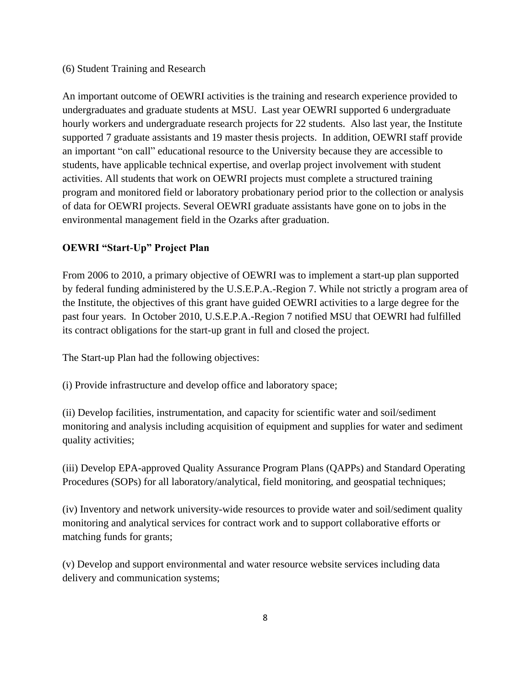# (6) Student Training and Research

An important outcome of OEWRI activities is the training and research experience provided to undergraduates and graduate students at MSU. Last year OEWRI supported 6 undergraduate hourly workers and undergraduate research projects for 22 students. Also last year, the Institute supported 7 graduate assistants and 19 master thesis projects. In addition, OEWRI staff provide an important "on call" educational resource to the University because they are accessible to students, have applicable technical expertise, and overlap project involvement with student activities. All students that work on OEWRI projects must complete a structured training program and monitored field or laboratory probationary period prior to the collection or analysis of data for OEWRI projects. Several OEWRI graduate assistants have gone on to jobs in the environmental management field in the Ozarks after graduation.

# **OEWRI "Start-Up" Project Plan**

From 2006 to 2010, a primary objective of OEWRI was to implement a start-up plan supported by federal funding administered by the U.S.E.P.A.-Region 7. While not strictly a program area of the Institute, the objectives of this grant have guided OEWRI activities to a large degree for the past four years. In October 2010, U.S.E.P.A.-Region 7 notified MSU that OEWRI had fulfilled its contract obligations for the start-up grant in full and closed the project.

The Start-up Plan had the following objectives:

(i) Provide infrastructure and develop office and laboratory space;

(ii) Develop facilities, instrumentation, and capacity for scientific water and soil/sediment monitoring and analysis including acquisition of equipment and supplies for water and sediment quality activities;

(iii) Develop EPA-approved Quality Assurance Program Plans (QAPPs) and Standard Operating Procedures (SOPs) for all laboratory/analytical, field monitoring, and geospatial techniques;

(iv) Inventory and network university-wide resources to provide water and soil/sediment quality monitoring and analytical services for contract work and to support collaborative efforts or matching funds for grants;

(v) Develop and support environmental and water resource website services including data delivery and communication systems;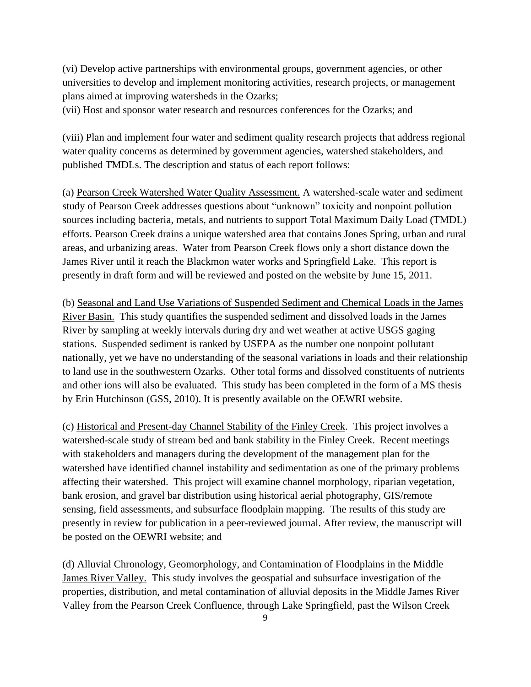(vi) Develop active partnerships with environmental groups, government agencies, or other universities to develop and implement monitoring activities, research projects, or management plans aimed at improving watersheds in the Ozarks;

(vii) Host and sponsor water research and resources conferences for the Ozarks; and

(viii) Plan and implement four water and sediment quality research projects that address regional water quality concerns as determined by government agencies, watershed stakeholders, and published TMDLs. The description and status of each report follows:

(a) Pearson Creek Watershed Water Quality Assessment. A watershed-scale water and sediment study of Pearson Creek addresses questions about "unknown" toxicity and nonpoint pollution sources including bacteria, metals, and nutrients to support Total Maximum Daily Load (TMDL) efforts. Pearson Creek drains a unique watershed area that contains Jones Spring, urban and rural areas, and urbanizing areas. Water from Pearson Creek flows only a short distance down the James River until it reach the Blackmon water works and Springfield Lake. This report is presently in draft form and will be reviewed and posted on the website by June 15, 2011.

(b) Seasonal and Land Use Variations of Suspended Sediment and Chemical Loads in the James River Basin. This study quantifies the suspended sediment and dissolved loads in the James River by sampling at weekly intervals during dry and wet weather at active USGS gaging stations. Suspended sediment is ranked by USEPA as the number one nonpoint pollutant nationally, yet we have no understanding of the seasonal variations in loads and their relationship to land use in the southwestern Ozarks. Other total forms and dissolved constituents of nutrients and other ions will also be evaluated. This study has been completed in the form of a MS thesis by Erin Hutchinson (GSS, 2010). It is presently available on the OEWRI website.

(c) Historical and Present-day Channel Stability of the Finley Creek. This project involves a watershed-scale study of stream bed and bank stability in the Finley Creek. Recent meetings with stakeholders and managers during the development of the management plan for the watershed have identified channel instability and sedimentation as one of the primary problems affecting their watershed. This project will examine channel morphology, riparian vegetation, bank erosion, and gravel bar distribution using historical aerial photography, GIS/remote sensing, field assessments, and subsurface floodplain mapping. The results of this study are presently in review for publication in a peer-reviewed journal. After review, the manuscript will be posted on the OEWRI website; and

(d) Alluvial Chronology, Geomorphology, and Contamination of Floodplains in the Middle James River Valley. This study involves the geospatial and subsurface investigation of the properties, distribution, and metal contamination of alluvial deposits in the Middle James River Valley from the Pearson Creek Confluence, through Lake Springfield, past the Wilson Creek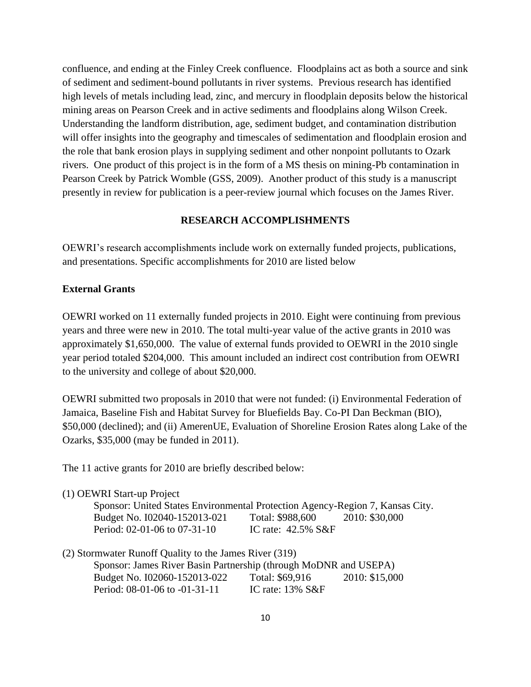confluence, and ending at the Finley Creek confluence. Floodplains act as both a source and sink of sediment and sediment-bound pollutants in river systems. Previous research has identified high levels of metals including lead, zinc, and mercury in floodplain deposits below the historical mining areas on Pearson Creek and in active sediments and floodplains along Wilson Creek. Understanding the landform distribution, age, sediment budget, and contamination distribution will offer insights into the geography and timescales of sedimentation and floodplain erosion and the role that bank erosion plays in supplying sediment and other nonpoint pollutants to Ozark rivers. One product of this project is in the form of a MS thesis on mining-Pb contamination in Pearson Creek by Patrick Womble (GSS, 2009). Another product of this study is a manuscript presently in review for publication is a peer-review journal which focuses on the James River.

#### **RESEARCH ACCOMPLISHMENTS**

OEWRI's research accomplishments include work on externally funded projects, publications, and presentations. Specific accomplishments for 2010 are listed below

#### **External Grants**

OEWRI worked on 11 externally funded projects in 2010. Eight were continuing from previous years and three were new in 2010. The total multi-year value of the active grants in 2010 was approximately \$1,650,000. The value of external funds provided to OEWRI in the 2010 single year period totaled \$204,000. This amount included an indirect cost contribution from OEWRI to the university and college of about \$20,000.

OEWRI submitted two proposals in 2010 that were not funded: (i) Environmental Federation of Jamaica, Baseline Fish and Habitat Survey for Bluefields Bay. Co-PI Dan Beckman (BIO), \$50,000 (declined); and (ii) AmerenUE, Evaluation of Shoreline Erosion Rates along Lake of the Ozarks, \$35,000 (may be funded in 2011).

The 11 active grants for 2010 are briefly described below:

| (1) OEWRI Start-up Project                                                    |                                 |  |
|-------------------------------------------------------------------------------|---------------------------------|--|
| Sponsor: United States Environmental Protection Agency-Region 7, Kansas City. |                                 |  |
| Budget No. I02040-152013-021                                                  | Total: \$988,600 2010: \$30,000 |  |
| Period: 02-01-06 to 07-31-10                                                  | IC rate: $42.5\%$ S&F           |  |
| (2) Stormwater Runoff Quality to the James River (319)                        |                                 |  |

| $\sim$ |                                                                  |                     |                |
|--------|------------------------------------------------------------------|---------------------|----------------|
|        | Sponsor: James River Basin Partnership (through MoDNR and USEPA) |                     |                |
|        | Budget No. I02060-152013-022                                     | Total: \$69,916     | 2010: \$15,000 |
|        | Period: 08-01-06 to -01-31-11                                    | IC rate: $13\%$ S&F |                |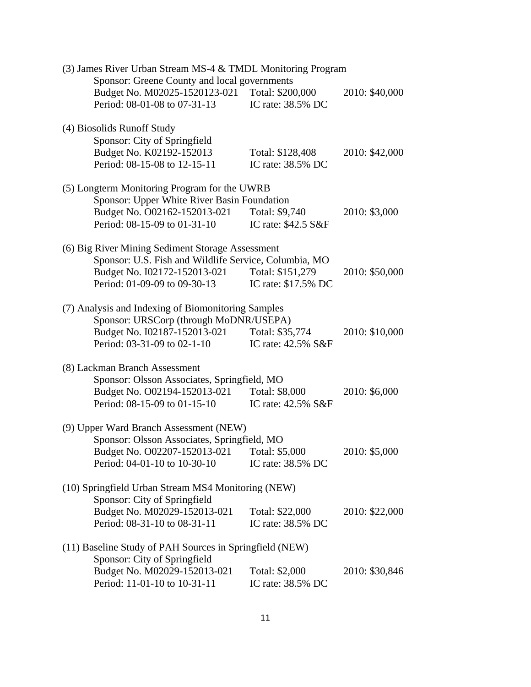| (3) James River Urban Stream MS-4 & TMDL Monitoring Program |                     |                |
|-------------------------------------------------------------|---------------------|----------------|
| Sponsor: Greene County and local governments                |                     |                |
| Budget No. M02025-1520123-021 Total: \$200,000              |                     | 2010: \$40,000 |
| Period: 08-01-08 to 07-31-13                                | IC rate: 38.5% DC   |                |
| (4) Biosolids Runoff Study                                  |                     |                |
| Sponsor: City of Springfield                                |                     |                |
| Budget No. K02192-152013                                    | Total: \$128,408    | 2010: \$42,000 |
| Period: 08-15-08 to 12-15-11                                | IC rate: 38.5% DC   |                |
| (5) Longterm Monitoring Program for the UWRB                |                     |                |
| Sponsor: Upper White River Basin Foundation                 |                     |                |
| Budget No. O02162-152013-021                                | Total: \$9,740      | 2010: \$3,000  |
| Period: 08-15-09 to 01-31-10                                | IC rate: \$42.5 S&F |                |
| (6) Big River Mining Sediment Storage Assessment            |                     |                |
| Sponsor: U.S. Fish and Wildlife Service, Columbia, MO       |                     |                |
| Budget No. I02172-152013-021                                | Total: \$151,279    | 2010: \$50,000 |
| Period: 01-09-09 to 09-30-13                                | IC rate: \$17.5% DC |                |
| (7) Analysis and Indexing of Biomonitoring Samples          |                     |                |
| Sponsor: URSCorp (through MoDNR/USEPA)                      |                     |                |
| Budget No. I02187-152013-021                                | Total: \$35,774     | 2010: \$10,000 |
| Period: 03-31-09 to 02-1-10                                 | IC rate: 42.5% S&F  |                |
| (8) Lackman Branch Assessment                               |                     |                |
| Sponsor: Olsson Associates, Springfield, MO                 |                     |                |
| Budget No. O02194-152013-021                                | Total: \$8,000      | 2010: \$6,000  |
| Period: 08-15-09 to 01-15-10                                | IC rate: 42.5% S&F  |                |
| (9) Upper Ward Branch Assessment (NEW)                      |                     |                |
| Sponsor: Olsson Associates, Springfield, MO                 |                     |                |
| Budget No. 002207-152013-021 Total: \$5,000                 |                     | 2010: \$5,000  |
| Period: 04-01-10 to 10-30-10                                | IC rate: 38.5% DC   |                |
| (10) Springfield Urban Stream MS4 Monitoring (NEW)          |                     |                |
| Sponsor: City of Springfield                                |                     |                |
| Budget No. M02029-152013-021                                | Total: \$22,000     | 2010: \$22,000 |
| Period: 08-31-10 to 08-31-11                                | IC rate: 38.5% DC   |                |
| (11) Baseline Study of PAH Sources in Springfield (NEW)     |                     |                |
| Sponsor: City of Springfield                                |                     |                |
| Budget No. M02029-152013-021                                | Total: \$2,000      | 2010: \$30,846 |
| Period: 11-01-10 to 10-31-11                                | IC rate: 38.5% DC   |                |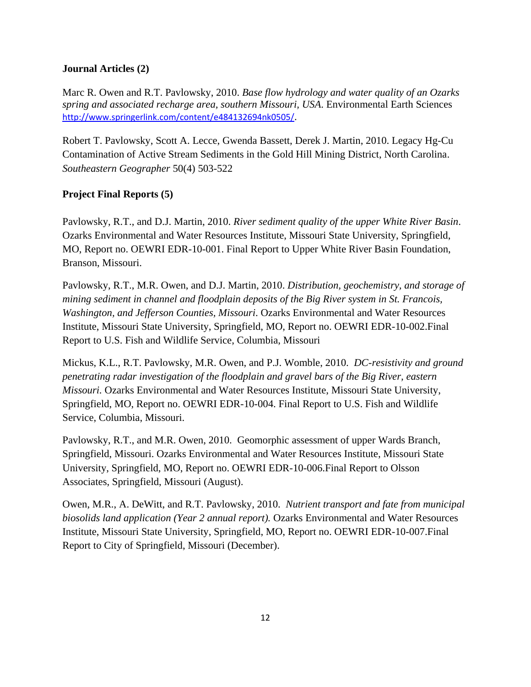# **Journal Articles (2)**

Marc R. Owen and R.T. Pavlowsky, 2010. *Base flow hydrology and water quality of an Ozarks spring and associated recharge area, southern Missouri, USA*. Environmental Earth Sciences <http://www.springerlink.com/content/e484132694nk0505/>.

[Robert T. Pavlowsky,](http://muse.jhu.edu/search/results?action=search&searchtype=author§ion1=author&search1=%22Pavlowsky,%20Robert%20T.%22) [Scott A. Lecce,](http://muse.jhu.edu/search/results?action=search&searchtype=author§ion1=author&search1=%22Lecce,%20Scott%20A.%22) [Gwenda Bassett,](http://muse.jhu.edu/search/results?action=search&searchtype=author§ion1=author&search1=%22Bassett,%20Gwenda.%22) [Derek J. Martin,](http://muse.jhu.edu/search/results?action=search&searchtype=author§ion1=author&search1=%22Martin,%20Derek%20J.%22) 2010. Legacy Hg-Cu Contamination of Active Stream Sediments in the Gold Hill Mining District, North Carolina. *Southeastern Geographer* 50(4) 503-522

# **Project Final Reports (5)**

Pavlowsky, R.T., and D.J. Martin, 2010. *River sediment quality of the upper White River Basin*. Ozarks Environmental and Water Resources Institute, Missouri State University, Springfield, MO, Report no. OEWRI EDR-10-001. Final Report to Upper White River Basin Foundation, Branson, Missouri.

Pavlowsky, R.T., M.R. Owen, and D.J. Martin, 2010. *Distribution, geochemistry, and storage of mining sediment in channel and floodplain deposits of the Big River system in St. Francois, Washington, and Jefferson Counties, Missouri*. Ozarks Environmental and Water Resources Institute, Missouri State University, Springfield, MO, Report no. OEWRI EDR-10-002.Final Report to U.S. Fish and Wildlife Service, Columbia, Missouri

Mickus, K.L., R.T. Pavlowsky, M.R. Owen, and P.J. Womble, 2010. *DC-resistivity and ground penetrating radar investigation of the floodplain and gravel bars of the Big River, eastern Missouri.* Ozarks Environmental and Water Resources Institute, Missouri State University, Springfield, MO, Report no. OEWRI EDR-10-004. Final Report to U.S. Fish and Wildlife Service, Columbia, Missouri.

Pavlowsky, R.T., and M.R. Owen, 2010. Geomorphic assessment of upper Wards Branch, Springfield, Missouri. Ozarks Environmental and Water Resources Institute, Missouri State University, Springfield, MO, Report no. OEWRI EDR-10-006.Final Report to Olsson Associates, Springfield, Missouri (August).

Owen, M.R., A. DeWitt, and R.T. Pavlowsky, 2010. *Nutrient transport and fate from municipal biosolids land application (Year 2 annual report).* Ozarks Environmental and Water Resources Institute, Missouri State University, Springfield, MO, Report no. OEWRI EDR-10-007.Final Report to City of Springfield, Missouri (December).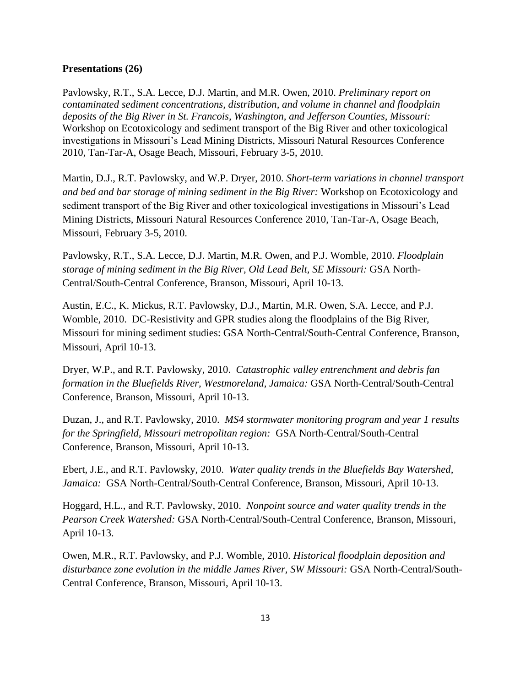#### **Presentations (26)**

Pavlowsky, R.T., S.A. Lecce, D.J. Martin, and M.R. Owen, 2010. *Preliminary report on contaminated sediment concentrations, distribution, and volume in channel and floodplain deposits of the Big River in St. Francois, Washington, and Jefferson Counties, Missouri:* Workshop on Ecotoxicology and sediment transport of the Big River and other toxicological investigations in Missouri's Lead Mining Districts, Missouri Natural Resources Conference 2010, Tan-Tar-A, Osage Beach, Missouri, February 3-5, 2010.

Martin, D.J., R.T. Pavlowsky, and W.P. Dryer, 2010. *Short-term variations in channel transport and bed and bar storage of mining sediment in the Big River:* Workshop on Ecotoxicology and sediment transport of the Big River and other toxicological investigations in Missouri's Lead Mining Districts, Missouri Natural Resources Conference 2010, Tan-Tar-A, Osage Beach, Missouri, February 3-5, 2010.

Pavlowsky, R.T., S.A. Lecce, D.J. Martin, M.R. Owen, and P.J. Womble, 2010. *Floodplain storage of mining sediment in the Big River, Old Lead Belt, SE Missouri:* GSA North-Central/South-Central Conference, Branson, Missouri, April 10-13.

Austin, E.C., K. Mickus, R.T. Pavlowsky, D.J., Martin, M.R. Owen, S.A. Lecce, and P.J. Womble, 2010. DC-Resistivity and GPR studies along the floodplains of the Big River, Missouri for mining sediment studies: GSA North-Central/South-Central Conference, Branson, Missouri, April 10-13.

Dryer, W.P., and R.T. Pavlowsky, 2010. *Catastrophic valley entrenchment and debris fan formation in the Bluefields River, Westmoreland, Jamaica:* GSA North-Central/South-Central Conference, Branson, Missouri, April 10-13.

Duzan, J., and R.T. Pavlowsky, 2010. *MS4 stormwater monitoring program and year 1 results for the Springfield, Missouri metropolitan region:* GSA North-Central/South-Central Conference, Branson, Missouri, April 10-13.

Ebert, J.E., and R.T. Pavlowsky, 2010. *Water quality trends in the Bluefields Bay Watershed, Jamaica:* GSA North-Central/South-Central Conference, Branson, Missouri, April 10-13.

Hoggard, H.L., and R.T. Pavlowsky, 2010. *Nonpoint source and water quality trends in the Pearson Creek Watershed:* GSA North-Central/South-Central Conference, Branson, Missouri, April 10-13.

Owen, M.R., R.T. Pavlowsky, and P.J. Womble, 2010. *Historical floodplain deposition and disturbance zone evolution in the middle James River, SW Missouri:* GSA North-Central/South-Central Conference, Branson, Missouri, April 10-13.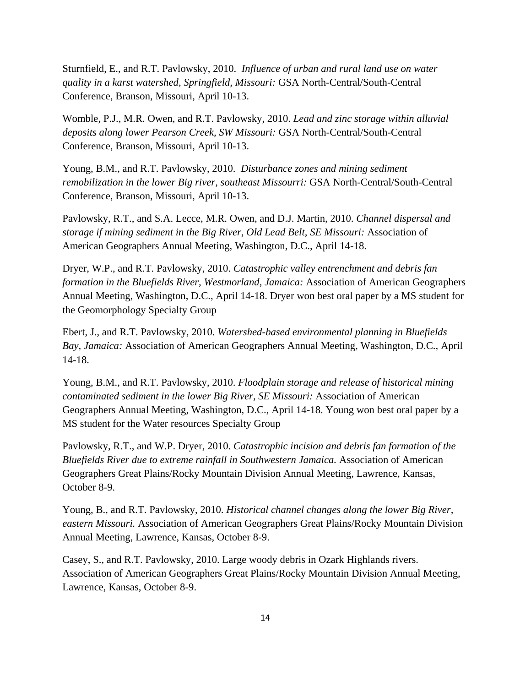Sturnfield, E., and R.T. Pavlowsky, 2010. *Influence of urban and rural land use on water quality in a karst watershed, Springfield, Missouri:* GSA North-Central/South-Central Conference, Branson, Missouri, April 10-13.

Womble, P.J., M.R. Owen, and R.T. Pavlowsky, 2010. *Lead and zinc storage within alluvial deposits along lower Pearson Creek, SW Missouri:* GSA North-Central/South-Central Conference, Branson, Missouri, April 10-13.

Young, B.M., and R.T. Pavlowsky, 2010. *Disturbance zones and mining sediment remobilization in the lower Big river, southeast Missourri:* GSA North-Central/South-Central Conference, Branson, Missouri, April 10-13.

Pavlowsky, R.T., and S.A. Lecce, M.R. Owen, and D.J. Martin, 2010. *Channel dispersal and storage if mining sediment in the Big River, Old Lead Belt, SE Missouri:* Association of American Geographers Annual Meeting, Washington, D.C., April 14-18.

Dryer, W.P., and R.T. Pavlowsky, 2010. *Catastrophic valley entrenchment and debris fan formation in the Bluefields River, Westmorland, Jamaica:* Association of American Geographers Annual Meeting, Washington, D.C., April 14-18. Dryer won best oral paper by a MS student for the Geomorphology Specialty Group

Ebert, J., and R.T. Pavlowsky, 2010. *Watershed-based environmental planning in Bluefields Bay, Jamaica:* Association of American Geographers Annual Meeting, Washington, D.C., April 14-18.

Young, B.M., and R.T. Pavlowsky, 2010. *Floodplain storage and release of historical mining contaminated sediment in the lower Big River, SE Missouri:* Association of American Geographers Annual Meeting, Washington, D.C., April 14-18. Young won best oral paper by a MS student for the Water resources Specialty Group

Pavlowsky, R.T., and W.P. Dryer, 2010. *Catastrophic incision and debris fan formation of the Bluefields River due to extreme rainfall in Southwestern Jamaica.* Association of American Geographers Great Plains/Rocky Mountain Division Annual Meeting, Lawrence, Kansas, October 8-9.

Young, B., and R.T. Pavlowsky, 2010. *Historical channel changes along the lower Big River, eastern Missouri.* Association of American Geographers Great Plains/Rocky Mountain Division Annual Meeting, Lawrence, Kansas, October 8-9.

Casey, S., and R.T. Pavlowsky, 2010. Large woody debris in Ozark Highlands rivers. Association of American Geographers Great Plains/Rocky Mountain Division Annual Meeting, Lawrence, Kansas, October 8-9.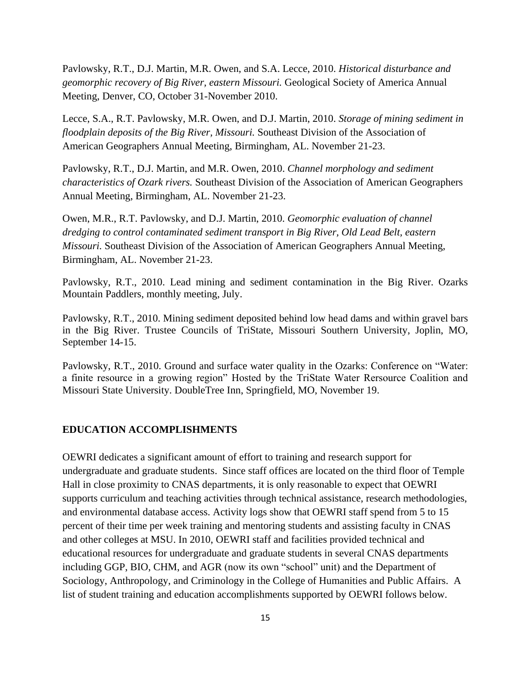Pavlowsky, R.T., D.J. Martin, M.R. Owen, and S.A. Lecce, 2010. *Historical disturbance and geomorphic recovery of Big River, eastern Missouri.* Geological Society of America Annual Meeting, Denver, CO, October 31-November 2010.

Lecce, S.A., R.T. Pavlowsky, M.R. Owen, and D.J. Martin, 2010. *Storage of mining sediment in floodplain deposits of the Big River, Missouri.* Southeast Division of the Association of American Geographers Annual Meeting, Birmingham, AL. November 21-23.

Pavlowsky, R.T., D.J. Martin, and M.R. Owen, 2010. *Channel morphology and sediment characteristics of Ozark rivers.* Southeast Division of the Association of American Geographers Annual Meeting, Birmingham, AL. November 21-23.

Owen, M.R., R.T. Pavlowsky, and D.J. Martin, 2010. *Geomorphic evaluation of channel dredging to control contaminated sediment transport in Big River, Old Lead Belt, eastern Missouri.* Southeast Division of the Association of American Geographers Annual Meeting, Birmingham, AL. November 21-23.

Pavlowsky, R.T., 2010. Lead mining and sediment contamination in the Big River. Ozarks Mountain Paddlers, monthly meeting, July.

Pavlowsky, R.T., 2010. Mining sediment deposited behind low head dams and within gravel bars in the Big River. Trustee Councils of TriState, Missouri Southern University, Joplin, MO, September 14-15.

Pavlowsky, R.T., 2010. Ground and surface water quality in the Ozarks: Conference on "Water: a finite resource in a growing region" Hosted by the TriState Water Rersource Coalition and Missouri State University. DoubleTree Inn, Springfield, MO, November 19.

#### **EDUCATION ACCOMPLISHMENTS**

OEWRI dedicates a significant amount of effort to training and research support for undergraduate and graduate students. Since staff offices are located on the third floor of Temple Hall in close proximity to CNAS departments, it is only reasonable to expect that OEWRI supports curriculum and teaching activities through technical assistance, research methodologies, and environmental database access. Activity logs show that OEWRI staff spend from 5 to 15 percent of their time per week training and mentoring students and assisting faculty in CNAS and other colleges at MSU. In 2010, OEWRI staff and facilities provided technical and educational resources for undergraduate and graduate students in several CNAS departments including GGP, BIO, CHM, and AGR (now its own "school" unit) and the Department of Sociology, Anthropology, and Criminology in the College of Humanities and Public Affairs. A list of student training and education accomplishments supported by OEWRI follows below.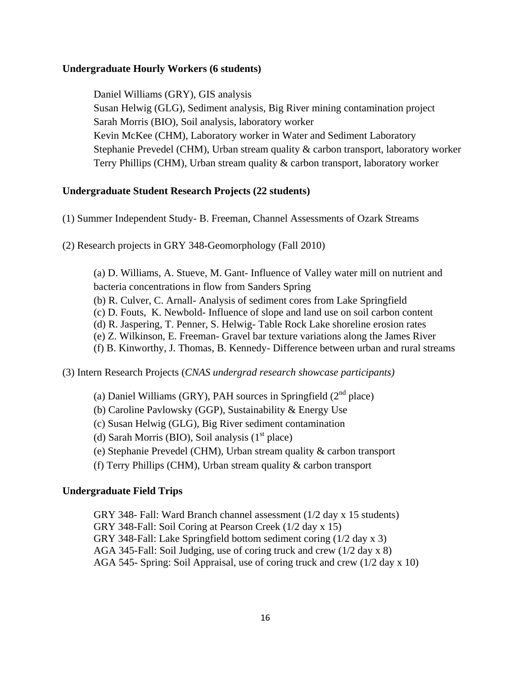#### **Undergraduate Hourly Workers (6 students)**

Daniel Williams (GRY), GIS analysis Susan Helwig (GLG), Sediment analysis, Big River mining contamination project Sarah Morris (BIO), Soil analysis, laboratory worker Kevin McKee (CHM), Laboratory worker in Water and Sediment Laboratory Stephanie Prevedel (CHM), Urban stream quality & carbon transport, laboratory worker Terry Phillips (CHM), Urban stream quality & carbon transport, laboratory worker

#### **Undergraduate Student Research Projects (22 students)**

- (1) Summer Independent Study- B. Freeman, Channel Assessments of Ozark Streams
- (2) Research projects in GRY 348-Geomorphology (Fall 2010)

(a) D. Williams, A. Stueve, M. Gant- Influence of Valley water mill on nutrient and bacteria concentrations in flow from Sanders Spring (b) R. Culver, C. Arnall- Analysis of sediment cores from Lake Springfield (c) D. Fouts, K. Newbold- Influence of slope and land use on soil carbon content (d) R. Jaspering, T. Penner, S. Helwig- Table Rock Lake shoreline erosion rates (e) Z. Wilkinson, E. Freeman- Gravel bar texture variations along the James River (f) B. Kinworthy, J. Thomas, B. Kennedy- Difference between urban and rural streams

(3) Intern Research Projects (*CNAS undergrad research showcase participants)*

(a) Daniel Williams (GRY), PAH sources in Springfield  $(2^{nd}$  place)

(b) Caroline Pavlowsky (GGP), Sustainability & Energy Use

(c) Susan Helwig (GLG), Big River sediment contamination

(d) Sarah Morris (BIO), Soil analysis  $(1<sup>st</sup>$  place)

(e) Stephanie Prevedel (CHM), Urban stream quality & carbon transport

(f) Terry Phillips (CHM), Urban stream quality & carbon transport

#### **Undergraduate Field Trips**

GRY 348- Fall: Ward Branch channel assessment (1/2 day x 15 students) GRY 348-Fall: Soil Coring at Pearson Creek (1/2 day x 15) GRY 348-Fall: Lake Springfield bottom sediment coring (1/2 day x 3) AGA 345-Fall: Soil Judging, use of coring truck and crew (1/2 day x 8) AGA 545- Spring: Soil Appraisal, use of coring truck and crew (1/2 day x 10)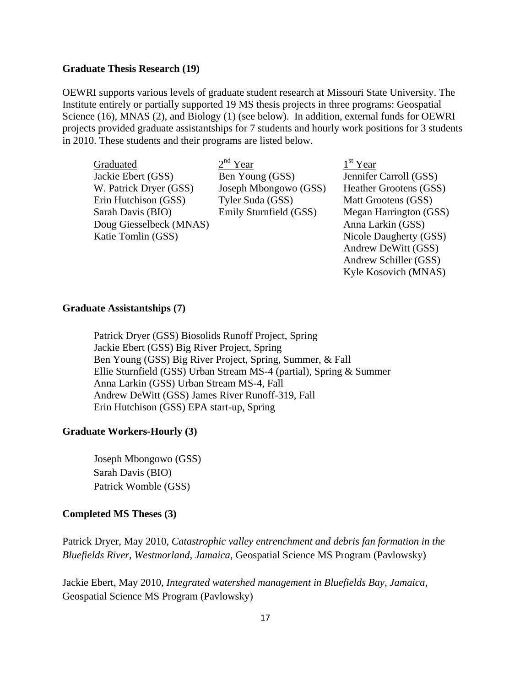#### **Graduate Thesis Research (19)**

OEWRI supports various levels of graduate student research at Missouri State University. The Institute entirely or partially supported 19 MS thesis projects in three programs: Geospatial Science (16), MNAS (2), and Biology (1) (see below). In addition, external funds for OEWRI projects provided graduate assistantships for 7 students and hourly work positions for 3 students in 2010. These students and their programs are listed below.

**Graduated** Jackie Ebert (GSS) Ben Young (GSS) Jennifer Carroll (GSS) W. Patrick Dryer (GSS) Joseph Mbongowo (GSS) Heather Grootens (GSS) Erin Hutchison (GSS) Tyler Suda (GSS) Matt Grootens (GSS) Sarah Davis (BIO) Emily Sturnfield (GSS) Megan Harrington (GSS) Doug Giesselbeck (MNAS) Anna Larkin (GSS) Katie Tomlin (GSS) Nicole Daugherty (GSS)

 $2<sup>nd</sup>$  Year

 $1<sup>st</sup>$  Year Andrew DeWitt (GSS) Andrew Schiller (GSS) Kyle Kosovich (MNAS)

#### **Graduate Assistantships (7)**

Patrick Dryer (GSS) Biosolids Runoff Project, Spring Jackie Ebert (GSS) Big River Project, Spring Ben Young (GSS) Big River Project, Spring, Summer, & Fall Ellie Sturnfield (GSS) Urban Stream MS-4 (partial), Spring & Summer Anna Larkin (GSS) Urban Stream MS-4, Fall Andrew DeWitt (GSS) James River Runoff-319, Fall Erin Hutchison (GSS) EPA start-up, Spring

#### **Graduate Workers-Hourly (3)**

Joseph Mbongowo (GSS) Sarah Davis (BIO) Patrick Womble (GSS)

#### **Completed MS Theses (3)**

Patrick Dryer, May 2010, *Catastrophic valley entrenchment and debris fan formation in the Bluefields River, Westmorland, Jamaica,* Geospatial Science MS Program (Pavlowsky)

Jackie Ebert, May 2010, *Integrated watershed management in Bluefields Bay, Jamaica*, Geospatial Science MS Program (Pavlowsky)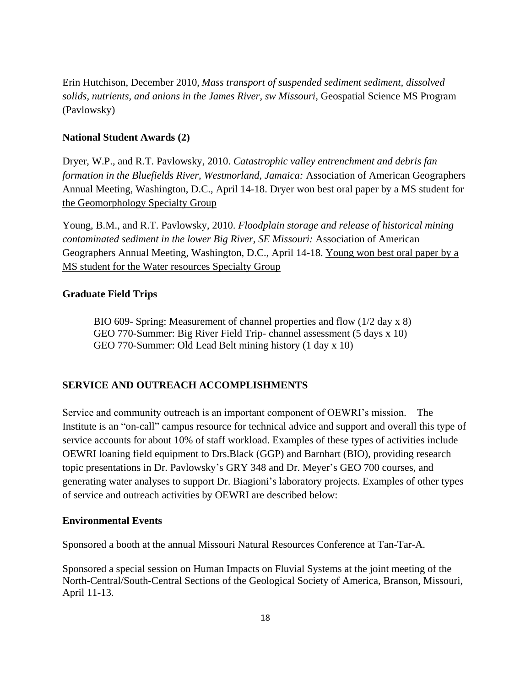Erin Hutchison, December 2010, *Mass transport of suspended sediment sediment, dissolved solids, nutrients, and anions in the James River, sw Missouri,* Geospatial Science MS Program (Pavlowsky)

# **National Student Awards (2)**

Dryer, W.P., and R.T. Pavlowsky, 2010. *Catastrophic valley entrenchment and debris fan formation in the Bluefields River, Westmorland, Jamaica:* Association of American Geographers Annual Meeting, Washington, D.C., April 14-18. Dryer won best oral paper by a MS student for the Geomorphology Specialty Group

Young, B.M., and R.T. Pavlowsky, 2010. *Floodplain storage and release of historical mining contaminated sediment in the lower Big River, SE Missouri:* Association of American Geographers Annual Meeting, Washington, D.C., April 14-18. Young won best oral paper by a MS student for the Water resources Specialty Group

# **Graduate Field Trips**

BIO 609- Spring: Measurement of channel properties and flow (1/2 day x 8) GEO 770-Summer: Big River Field Trip- channel assessment (5 days x 10) GEO 770-Summer: Old Lead Belt mining history (1 day x 10)

# **SERVICE AND OUTREACH ACCOMPLISHMENTS**

Service and community outreach is an important component of OEWRI's mission. The Institute is an "on-call" campus resource for technical advice and support and overall this type of service accounts for about 10% of staff workload. Examples of these types of activities include OEWRI loaning field equipment to Drs.Black (GGP) and Barnhart (BIO), providing research topic presentations in Dr. Pavlowsky's GRY 348 and Dr. Meyer's GEO 700 courses, and generating water analyses to support Dr. Biagioni's laboratory projects. Examples of other types of service and outreach activities by OEWRI are described below:

#### **Environmental Events**

Sponsored a booth at the annual Missouri Natural Resources Conference at Tan-Tar-A.

Sponsored a special session on Human Impacts on Fluvial Systems at the joint meeting of the North-Central/South-Central Sections of the Geological Society of America, Branson, Missouri, April 11-13.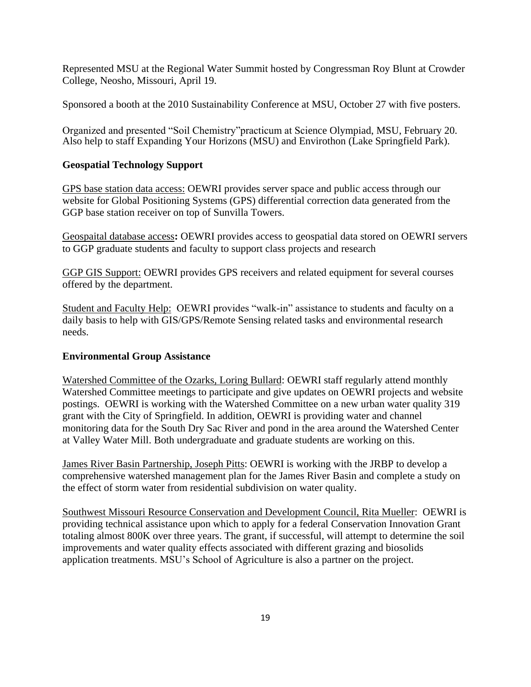Represented MSU at the Regional Water Summit hosted by Congressman Roy Blunt at Crowder College, Neosho, Missouri, April 19.

Sponsored a booth at the 2010 Sustainability Conference at MSU, October 27 with five posters.

Organized and presented "Soil Chemistry"practicum at Science Olympiad, MSU, February 20. Also help to staff Expanding Your Horizons (MSU) and Envirothon (Lake Springfield Park).

# **Geospatial Technology Support**

GPS base station data access: OEWRI provides server space and public access through our website for Global Positioning Systems (GPS) differential correction data generated from the GGP base station receiver on top of Sunvilla Towers.

Geospaital database access**:** OEWRI provides access to geospatial data stored on OEWRI servers to GGP graduate students and faculty to support class projects and research

GGP GIS Support: OEWRI provides GPS receivers and related equipment for several courses offered by the department.

Student and Faculty Help: OEWRI provides "walk-in" assistance to students and faculty on a daily basis to help with GIS/GPS/Remote Sensing related tasks and environmental research needs.

# **Environmental Group Assistance**

Watershed Committee of the Ozarks, Loring Bullard: OEWRI staff regularly attend monthly Watershed Committee meetings to participate and give updates on OEWRI projects and website postings. OEWRI is working with the Watershed Committee on a new urban water quality 319 grant with the City of Springfield. In addition, OEWRI is providing water and channel monitoring data for the South Dry Sac River and pond in the area around the Watershed Center at Valley Water Mill. Both undergraduate and graduate students are working on this.

James River Basin Partnership, Joseph Pitts: OEWRI is working with the JRBP to develop a comprehensive watershed management plan for the James River Basin and complete a study on the effect of storm water from residential subdivision on water quality.

Southwest Missouri Resource Conservation and Development Council, Rita Mueller: OEWRI is providing technical assistance upon which to apply for a federal Conservation Innovation Grant totaling almost 800K over three years. The grant, if successful, will attempt to determine the soil improvements and water quality effects associated with different grazing and biosolids application treatments. MSU's School of Agriculture is also a partner on the project.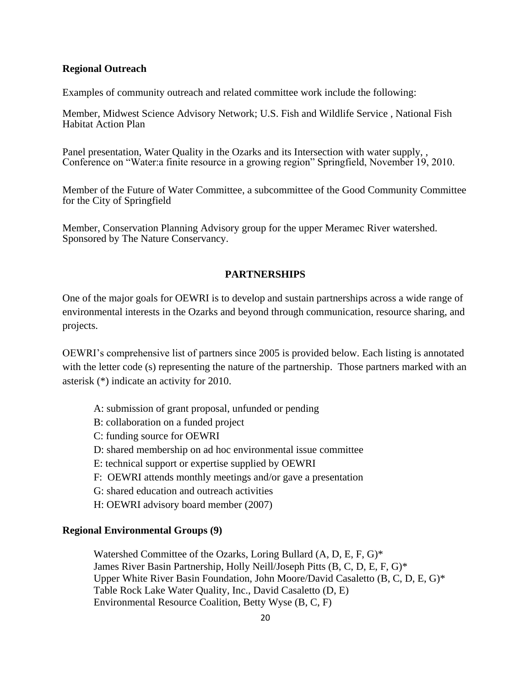#### **Regional Outreach**

Examples of community outreach and related committee work include the following:

Member, Midwest Science Advisory Network; U.S. Fish and Wildlife Service , National Fish Habitat Action Plan

Panel presentation, Water Quality in the Ozarks and its Intersection with water supply, , Conference on "Water:a finite resource in a growing region" Springfield, November 19, 2010.

Member of the Future of Water Committee, a subcommittee of the Good Community Committee for the City of Springfield

Member, Conservation Planning Advisory group for the upper Meramec River watershed. Sponsored by The Nature Conservancy.

#### **PARTNERSHIPS**

One of the major goals for OEWRI is to develop and sustain partnerships across a wide range of environmental interests in the Ozarks and beyond through communication, resource sharing, and projects.

OEWRI's comprehensive list of partners since 2005 is provided below. Each listing is annotated with the letter code (s) representing the nature of the partnership. Those partners marked with an asterisk (\*) indicate an activity for 2010.

- A: submission of grant proposal, unfunded or pending
- B: collaboration on a funded project
- C: funding source for OEWRI
- D: shared membership on ad hoc environmental issue committee
- E: technical support or expertise supplied by OEWRI
- F: OEWRI attends monthly meetings and/or gave a presentation
- G: shared education and outreach activities
- H: OEWRI advisory board member (2007)

#### **Regional Environmental Groups (9)**

Watershed Committee of the Ozarks, Loring Bullard (A, D, E, F, G)\* James River Basin Partnership, Holly Neill/Joseph Pitts (B, C, D, E, F, G)\* Upper White River Basin Foundation, John Moore/David Casaletto (B, C, D, E, G)\* Table Rock Lake Water Quality, Inc., David Casaletto (D, E) Environmental Resource Coalition, Betty Wyse (B, C, F)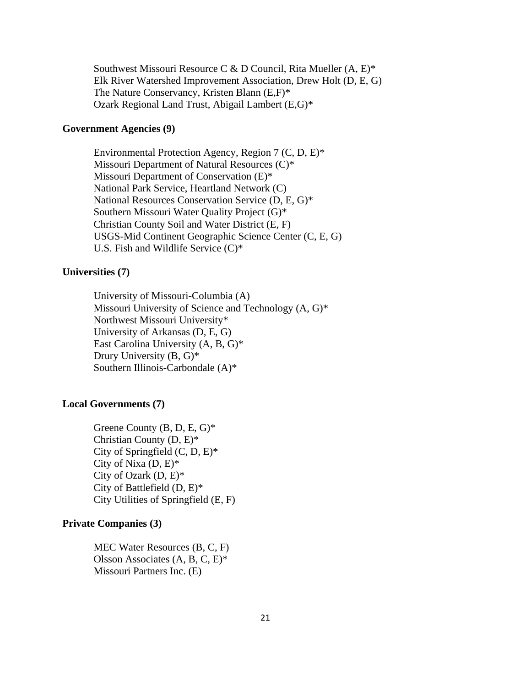Southwest Missouri Resource C & D Council, Rita Mueller (A, E)\* Elk River Watershed Improvement Association, Drew Holt (D, E, G) The Nature Conservancy, Kristen Blann (E,F)\* Ozark Regional Land Trust, Abigail Lambert (E,G)\*

#### **Government Agencies (9)**

Environmental Protection Agency, Region 7 (C, D, E)\* Missouri Department of Natural Resources (C)\* Missouri Department of Conservation (E)\* National Park Service, Heartland Network (C) National Resources Conservation Service (D, E, G)\* Southern Missouri Water Quality Project (G)\* Christian County Soil and Water District (E, F) USGS-Mid Continent Geographic Science Center (C, E, G) U.S. Fish and Wildlife Service (C)\*

#### **Universities (7)**

University of Missouri-Columbia (A) Missouri University of Science and Technology (A, G)\* Northwest Missouri University\* University of Arkansas (D, E, G) East Carolina University (A, B, G)\* Drury University (B, G)\* Southern Illinois-Carbondale (A)\*

#### **Local Governments (7)**

Greene County (B, D, E, G)\* Christian County (D, E)\* City of Springfield  $(C, D, E)^*$ City of Nixa (D, E)\* City of Ozark (D, E)\* City of Battlefield (D, E)\* City Utilities of Springfield (E, F)

#### **Private Companies (3)**

MEC Water Resources (B, C, F) Olsson Associates (A, B, C, E)\* Missouri Partners Inc. (E)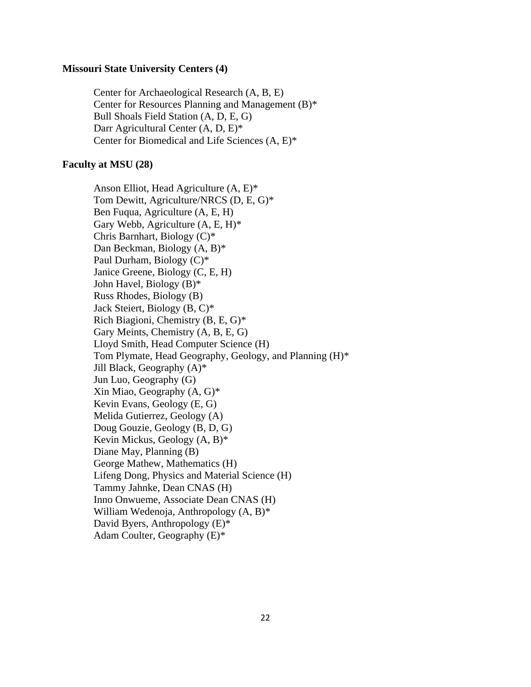#### **Missouri State University Centers (4)**

Center for Archaeological Research (A, B, E) Center for Resources Planning and Management (B)\* Bull Shoals Field Station (A, D, E, G) Darr Agricultural Center (A, D, E)\* Center for Biomedical and Life Sciences (A, E)\*

#### **Faculty at MSU (28)**

Anson Elliot, Head Agriculture (A, E)\* Tom Dewitt, Agriculture/NRCS (D, E, G)\* Ben Fuqua, Agriculture (A, E, H) Gary Webb, Agriculture (A, E, H)\* Chris Barnhart, Biology (C)\* Dan Beckman, Biology (A, B)\* Paul Durham, Biology (C)\* Janice Greene, Biology (C, E, H) John Havel, Biology (B)\* Russ Rhodes, Biology (B) Jack Steiert, Biology (B, C)\* Rich Biagioni, Chemistry (B, E, G)\* Gary Meints, Chemistry (A, B, E, G) Lloyd Smith, Head Computer Science (H) Tom Plymate, Head Geography, Geology, and Planning (H)\* Jill Black, Geography (A)\* Jun Luo, Geography (G) Xin Miao, Geography (A, G)\* Kevin Evans, Geology (E, G) Melida Gutierrez, Geology (A) Doug Gouzie, Geology (B, D, G) Kevin Mickus, Geology (A, B)\* Diane May, Planning (B) George Mathew, Mathematics (H) Lifeng Dong, Physics and Material Science (H) Tammy Jahnke, Dean CNAS (H) Inno Onwueme, Associate Dean CNAS (H) William Wedenoja, Anthropology (A, B)\* David Byers, Anthropology (E)\* Adam Coulter, Geography (E)\*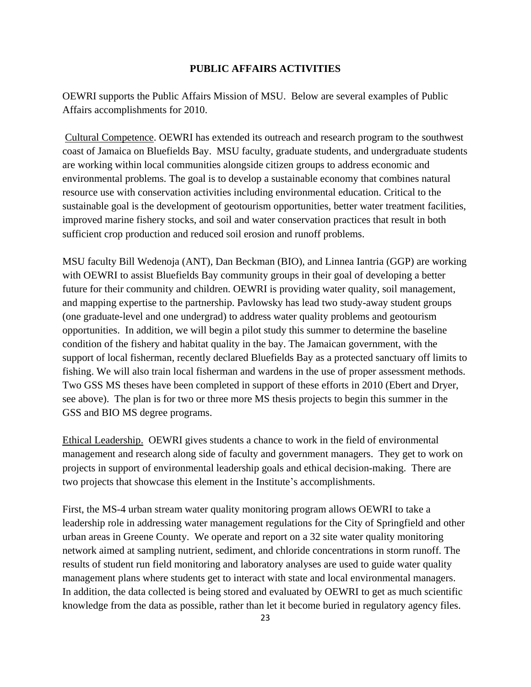#### **PUBLIC AFFAIRS ACTIVITIES**

OEWRI supports the Public Affairs Mission of MSU. Below are several examples of Public Affairs accomplishments for 2010.

Cultural Competence. OEWRI has extended its outreach and research program to the southwest coast of Jamaica on Bluefields Bay. MSU faculty, graduate students, and undergraduate students are working within local communities alongside citizen groups to address economic and environmental problems. The goal is to develop a sustainable economy that combines natural resource use with conservation activities including environmental education. Critical to the sustainable goal is the development of geotourism opportunities, better water treatment facilities, improved marine fishery stocks, and soil and water conservation practices that result in both sufficient crop production and reduced soil erosion and runoff problems.

MSU faculty Bill Wedenoja (ANT), Dan Beckman (BIO), and Linnea Iantria (GGP) are working with OEWRI to assist Bluefields Bay community groups in their goal of developing a better future for their community and children. OEWRI is providing water quality, soil management, and mapping expertise to the partnership. Pavlowsky has lead two study-away student groups (one graduate-level and one undergrad) to address water quality problems and geotourism opportunities. In addition, we will begin a pilot study this summer to determine the baseline condition of the fishery and habitat quality in the bay. The Jamaican government, with the support of local fisherman, recently declared Bluefields Bay as a protected sanctuary off limits to fishing. We will also train local fisherman and wardens in the use of proper assessment methods. Two GSS MS theses have been completed in support of these efforts in 2010 (Ebert and Dryer, see above). The plan is for two or three more MS thesis projects to begin this summer in the GSS and BIO MS degree programs.

Ethical Leadership. OEWRI gives students a chance to work in the field of environmental management and research along side of faculty and government managers. They get to work on projects in support of environmental leadership goals and ethical decision-making. There are two projects that showcase this element in the Institute's accomplishments.

First, the MS-4 urban stream water quality monitoring program allows OEWRI to take a leadership role in addressing water management regulations for the City of Springfield and other urban areas in Greene County. We operate and report on a 32 site water quality monitoring network aimed at sampling nutrient, sediment, and chloride concentrations in storm runoff. The results of student run field monitoring and laboratory analyses are used to guide water quality management plans where students get to interact with state and local environmental managers. In addition, the data collected is being stored and evaluated by OEWRI to get as much scientific knowledge from the data as possible, rather than let it become buried in regulatory agency files.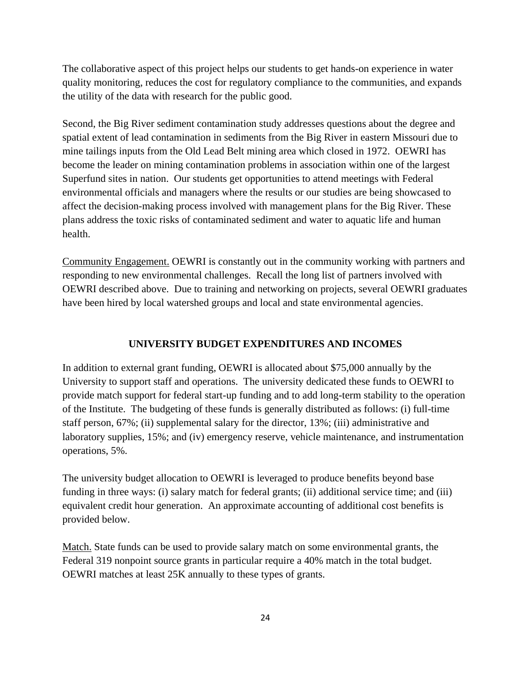The collaborative aspect of this project helps our students to get hands-on experience in water quality monitoring, reduces the cost for regulatory compliance to the communities, and expands the utility of the data with research for the public good.

Second, the Big River sediment contamination study addresses questions about the degree and spatial extent of lead contamination in sediments from the Big River in eastern Missouri due to mine tailings inputs from the Old Lead Belt mining area which closed in 1972. OEWRI has become the leader on mining contamination problems in association within one of the largest Superfund sites in nation. Our students get opportunities to attend meetings with Federal environmental officials and managers where the results or our studies are being showcased to affect the decision-making process involved with management plans for the Big River. These plans address the toxic risks of contaminated sediment and water to aquatic life and human health.

Community Engagement. OEWRI is constantly out in the community working with partners and responding to new environmental challenges. Recall the long list of partners involved with OEWRI described above. Due to training and networking on projects, several OEWRI graduates have been hired by local watershed groups and local and state environmental agencies.

#### **UNIVERSITY BUDGET EXPENDITURES AND INCOMES**

In addition to external grant funding, OEWRI is allocated about \$75,000 annually by the University to support staff and operations. The university dedicated these funds to OEWRI to provide match support for federal start-up funding and to add long-term stability to the operation of the Institute. The budgeting of these funds is generally distributed as follows: (i) full-time staff person, 67%; (ii) supplemental salary for the director, 13%; (iii) administrative and laboratory supplies, 15%; and (iv) emergency reserve, vehicle maintenance, and instrumentation operations, 5%.

The university budget allocation to OEWRI is leveraged to produce benefits beyond base funding in three ways: (i) salary match for federal grants; (ii) additional service time; and (iii) equivalent credit hour generation. An approximate accounting of additional cost benefits is provided below.

Match. State funds can be used to provide salary match on some environmental grants, the Federal 319 nonpoint source grants in particular require a 40% match in the total budget. OEWRI matches at least 25K annually to these types of grants.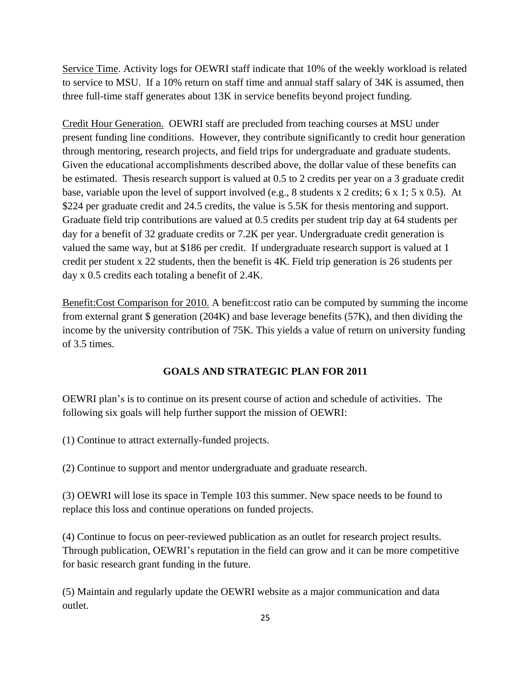Service Time. Activity logs for OEWRI staff indicate that 10% of the weekly workload is related to service to MSU. If a 10% return on staff time and annual staff salary of 34K is assumed, then three full-time staff generates about 13K in service benefits beyond project funding.

Credit Hour Generation. OEWRI staff are precluded from teaching courses at MSU under present funding line conditions. However, they contribute significantly to credit hour generation through mentoring, research projects, and field trips for undergraduate and graduate students. Given the educational accomplishments described above, the dollar value of these benefits can be estimated. Thesis research support is valued at 0.5 to 2 credits per year on a 3 graduate credit base, variable upon the level of support involved (e.g., 8 students x 2 credits; 6 x 1; 5 x 0.5). At \$224 per graduate credit and 24.5 credits, the value is 5.5K for thesis mentoring and support. Graduate field trip contributions are valued at 0.5 credits per student trip day at 64 students per day for a benefit of 32 graduate credits or 7.2K per year. Undergraduate credit generation is valued the same way, but at \$186 per credit. If undergraduate research support is valued at 1 credit per student x 22 students, then the benefit is 4K. Field trip generation is 26 students per day x 0.5 credits each totaling a benefit of 2.4K.

Benefit:Cost Comparison for 2010. A benefit:cost ratio can be computed by summing the income from external grant \$ generation (204K) and base leverage benefits (57K), and then dividing the income by the university contribution of 75K. This yields a value of return on university funding of 3.5 times.

# **GOALS AND STRATEGIC PLAN FOR 2011**

OEWRI plan's is to continue on its present course of action and schedule of activities. The following six goals will help further support the mission of OEWRI:

(1) Continue to attract externally-funded projects.

(2) Continue to support and mentor undergraduate and graduate research.

(3) OEWRI will lose its space in Temple 103 this summer. New space needs to be found to replace this loss and continue operations on funded projects.

(4) Continue to focus on peer-reviewed publication as an outlet for research project results. Through publication, OEWRI's reputation in the field can grow and it can be more competitive for basic research grant funding in the future.

(5) Maintain and regularly update the OEWRI website as a major communication and data outlet.